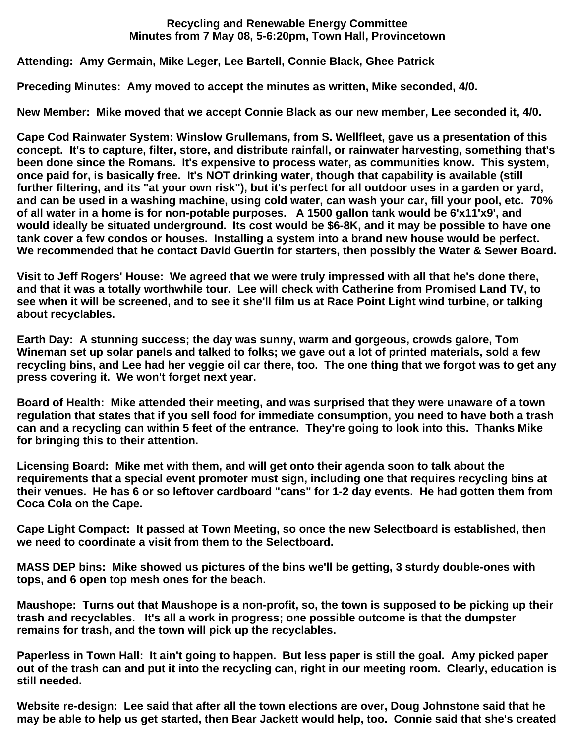## **Recycling and Renewable Energy Committee Minutes from 7 May 08, 5-6:20pm, Town Hall, Provincetown**

**Attending: Amy Germain, Mike Leger, Lee Bartell, Connie Black, Ghee Patrick**

**Preceding Minutes: Amy moved to accept the minutes as written, Mike seconded, 4/0.**

**New Member: Mike moved that we accept Connie Black as our new member, Lee seconded it, 4/0.**

**Cape Cod Rainwater System: Winslow Grullemans, from S. Wellfleet, gave us a presentation of this concept. It's to capture, filter, store, and distribute rainfall, or rainwater harvesting, something that's been done since the Romans. It's expensive to process water, as communities know. This system, once paid for, is basically free. It's NOT drinking water, though that capability is available (still further filtering, and its "at your own risk"), but it's perfect for all outdoor uses in a garden or yard, and can be used in a washing machine, using cold water, can wash your car, fill your pool, etc. 70% of all water in a home is for non-potable purposes. A 1500 gallon tank would be 6'x11'x9', and would ideally be situated underground. Its cost would be \$6-8K, and it may be possible to have one tank cover a few condos or houses. Installing a system into a brand new house would be perfect. We recommended that he contact David Guertin for starters, then possibly the Water & Sewer Board.**

**Visit to Jeff Rogers' House: We agreed that we were truly impressed with all that he's done there, and that it was a totally worthwhile tour. Lee will check with Catherine from Promised Land TV, to see when it will be screened, and to see it she'll film us at Race Point Light wind turbine, or talking about recyclables.**

**Earth Day: A stunning success; the day was sunny, warm and gorgeous, crowds galore, Tom Wineman set up solar panels and talked to folks; we gave out a lot of printed materials, sold a few recycling bins, and Lee had her veggie oil car there, too. The one thing that we forgot was to get any press covering it. We won't forget next year.**

**Board of Health: Mike attended their meeting, and was surprised that they were unaware of a town regulation that states that if you sell food for immediate consumption, you need to have both a trash can and a recycling can within 5 feet of the entrance. They're going to look into this. Thanks Mike for bringing this to their attention.**

**Licensing Board: Mike met with them, and will get onto their agenda soon to talk about the requirements that a special event promoter must sign, including one that requires recycling bins at their venues. He has 6 or so leftover cardboard "cans" for 1-2 day events. He had gotten them from Coca Cola on the Cape.**

**Cape Light Compact: It passed at Town Meeting, so once the new Selectboard is established, then we need to coordinate a visit from them to the Selectboard.**

**MASS DEP bins: Mike showed us pictures of the bins we'll be getting, 3 sturdy double-ones with tops, and 6 open top mesh ones for the beach.**

**Maushope: Turns out that Maushope is a non-profit, so, the town is supposed to be picking up their trash and recyclables. It's all a work in progress; one possible outcome is that the dumpster remains for trash, and the town will pick up the recyclables.**

**Paperless in Town Hall: It ain't going to happen. But less paper is still the goal. Amy picked paper out of the trash can and put it into the recycling can, right in our meeting room. Clearly, education is still needed.**

**Website re-design: Lee said that after all the town elections are over, Doug Johnstone said that he may be able to help us get started, then Bear Jackett would help, too. Connie said that she's created**